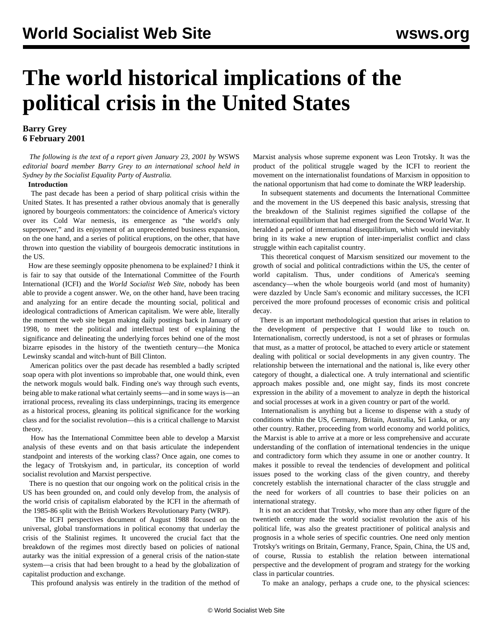# **The world historical implications of the political crisis in the United States**

### **Barry Grey 6 February 2001**

 *The following is the text of a report given January 23, 2001 by* WSWS *editorial board member Barry Grey to an international school held in Sydney by the Socialist Equality Party of Australia.*

#### **Introduction**

 The past decade has been a period of sharp political crisis within the United States. It has presented a rather obvious anomaly that is generally ignored by bourgeois commentators: the coincidence of America's victory over its Cold War nemesis, its emergence as "the world's only superpower," and its enjoyment of an unprecedented business expansion, on the one hand, and a series of political eruptions, on the other, that have thrown into question the viability of bourgeois democratic institutions in the US.

 How are these seemingly opposite phenomena to be explained? I think it is fair to say that outside of the International Committee of the Fourth International (ICFI) and the *World Socialist Web Site*, nobody has been able to provide a cogent answer. We, on the other hand, have been tracing and analyzing for an entire decade the mounting social, political and ideological contradictions of American capitalism. We were able, literally the moment the web site began making daily postings back in January of 1998, to meet the political and intellectual test of explaining the significance and delineating the underlying forces behind one of the most bizarre episodes in the history of the twentieth century—the Monica Lewinsky scandal and witch-hunt of Bill Clinton.

 American politics over the past decade has resembled a badly scripted soap opera with plot inventions so improbable that, one would think, even the network moguls would balk. Finding one's way through such events, being able to make rational what certainly seems—and in some ways is—an irrational process, revealing its class underpinnings, tracing its emergence as a historical process, gleaning its political significance for the working class and for the socialist revolution—this is a critical challenge to Marxist theory.

 How has the International Committee been able to develop a Marxist analysis of these events and on that basis articulate the independent standpoint and interests of the working class? Once again, one comes to the legacy of Trotskyism and, in particular, its conception of world socialist revolution and Marxist perspective.

 There is no question that our ongoing work on the political crisis in the US has been grounded on, and could only develop from, the analysis of the world crisis of capitalism elaborated by the ICFI in the aftermath of the 1985-86 split with the British Workers Revolutionary Party (WRP).

 The ICFI perspectives document of August 1988 focused on the universal, global transformations in political economy that underlay the crisis of the Stalinist regimes. It uncovered the crucial fact that the breakdown of the regimes most directly based on policies of national autarky was the initial expression of a general crisis of the nation-state system—a crisis that had been brought to a head by the globalization of capitalist production and exchange.

This profound analysis was entirely in the tradition of the method of

Marxist analysis whose supreme exponent was Leon Trotsky. It was the product of the political struggle waged by the ICFI to reorient the movement on the internationalist foundations of Marxism in opposition to the national opportunism that had come to dominate the WRP leadership.

 In subsequent statements and documents the International Committee and the movement in the US deepened this basic analysis, stressing that the breakdown of the Stalinist regimes signified the collapse of the international equilibrium that had emerged from the Second World War. It heralded a period of international disequilibrium, which would inevitably bring in its wake a new eruption of inter-imperialist conflict and class struggle within each capitalist country.

 This theoretical conquest of Marxism sensitized our movement to the growth of social and political contradictions within the US, the center of world capitalism. Thus, under conditions of America's seeming ascendancy—when the whole bourgeois world (and most of humanity) were dazzled by Uncle Sam's economic and military successes, the ICFI perceived the more profound processes of economic crisis and political decay.

 There is an important methodological question that arises in relation to the development of perspective that I would like to touch on. Internationalism, correctly understood, is not a set of phrases or formulas that must, as a matter of protocol, be attached to every article or statement dealing with political or social developments in any given country. The relationship between the international and the national is, like every other category of thought, a dialectical one. A truly international and scientific approach makes possible and, one might say, finds its most concrete expression in the ability of a movement to analyze in depth the historical and social processes at work in a given country or part of the world.

 Internationalism is anything but a license to dispense with a study of conditions within the US, Germany, Britain, Australia, Sri Lanka, or any other country. Rather, proceeding from world economy and world politics, the Marxist is able to arrive at a more or less comprehensive and accurate understanding of the conflation of international tendencies in the unique and contradictory form which they assume in one or another country. It makes it possible to reveal the tendencies of development and political issues posed to the working class of the given country, and thereby concretely establish the international character of the class struggle and the need for workers of all countries to base their policies on an international strategy.

 It is not an accident that Trotsky, who more than any other figure of the twentieth century made the world socialist revolution the axis of his political life, was also the greatest practitioner of political analysis and prognosis in a whole series of specific countries. One need only mention Trotsky's writings on Britain, Germany, France, Spain, China, the US and, of course, Russia to establish the relation between international perspective and the development of program and strategy for the working class in particular countries.

To make an analogy, perhaps a crude one, to the physical sciences: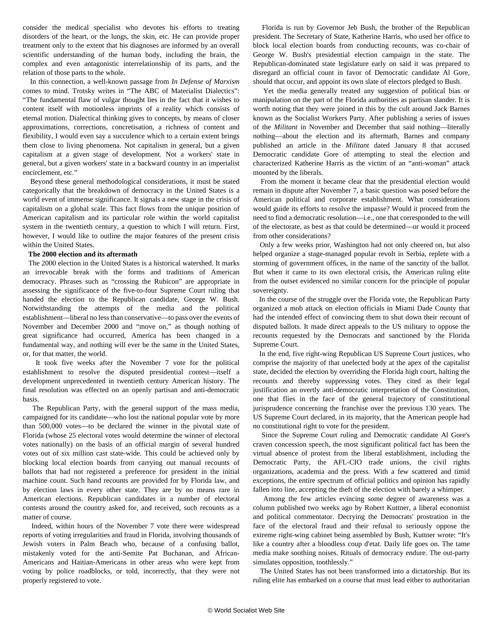consider the medical specialist who devotes his efforts to treating disorders of the heart, or the lungs, the skin, etc. He can provide proper treatment only to the extent that his diagnoses are informed by an overall scientific understanding of the human body, including the brain, the complex and even antagonistic interrelationship of its parts, and the relation of those parts to the whole.

 In this connection, a well-known passage from *In Defense of Marxism* comes to mind. Trotsky writes in "The ABC of Materialist Dialectics": "The fundamental flaw of vulgar thought lies in the fact that it wishes to content itself with motionless imprints of a reality which consists of eternal motion. Dialectical thinking gives to concepts, by means of closer approximations, corrections, concretisation, a richness of content and flexibility, I would even say a succulence which to a certain extent brings them close to living phenomena. Not capitalism in general, but a given capitalism at a given stage of development. Not a workers' state in general, but a given workers' state in a backward country in an imperialist encirclement, etc."

 Beyond these general methodological considerations, it must be stated categorically that the breakdown of democracy in the United States is a world event of immense significance. It signals a new stage in the crisis of capitalism on a global scale. This fact flows from the unique position of American capitalism and its particular role within the world capitalist system in the twentieth century, a question to which I will return. First, however, I would like to outline the major features of the present crisis within the United States.

#### **The 2000 election and its aftermath**

 The 2000 election in the United States is a historical watershed. It marks an irrevocable break with the forms and traditions of American democracy. Phrases such as "crossing the Rubicon" are appropriate in assessing the significance of the five-to-four Supreme Court ruling that handed the election to the Republican candidate, George W. Bush. Notwithstanding the attempts of the media and the political establishment—liberal no less than conservative—to pass over the events of November and December 2000 and "move on," as though nothing of great significance had occurred, America has been changed in a fundamental way, and nothing will ever be the same in the United States, or, for that matter, the world.

 It took five weeks after the November 7 vote for the political establishment to resolve the disputed presidential contest—itself a development unprecedented in twentieth century American history. The final resolution was effected on an openly partisan and anti-democratic basis.

 The Republican Party, with the general support of the mass media, campaigned for its candidate—who lost the national popular vote by more than 500,000 votes—to be declared the winner in the pivotal state of Florida (whose 25 electoral votes would determine the winner of electoral votes nationally) on the basis of an official margin of several hundred votes out of six million cast state-wide. This could be achieved only by blocking local election boards from carrying out manual recounts of ballots that had not registered a preference for president in the initial machine count. Such hand recounts are provided for by Florida law, and by election laws in every other state. They are by no means rare in American elections. Republican candidates in a number of electoral contests around the country asked for, and received, such recounts as a matter of course.

 Indeed, within hours of the November 7 vote there were widespread reports of voting irregularities and fraud in Florida, involving thousands of Jewish voters in Palm Beach who, because of a confusing ballot, mistakenly voted for the anti-Semite Pat Buchanan, and African-Americans and Haitian-Americans in other areas who were kept from voting by police roadblocks, or told, incorrectly, that they were not properly registered to vote.

 Florida is run by Governor Jeb Bush, the brother of the Republican president. The Secretary of State, Katherine Harris, who used her office to block local election boards from conducting recounts, was co-chair of George W. Bush's presidential election campaign in the state. The Republican-dominated state legislature early on said it was prepared to disregard an official count in favor of Democratic candidate Al Gore, should that occur, and appoint its own slate of electors pledged to Bush.

 Yet the media generally treated any suggestion of political bias or manipulation on the part of the Florida authorities as partisan slander. It is worth noting that they were joined in this by the cult around Jack Barnes known as the Socialist Workers Party. After publishing a series of issues of the *Militant* in November and December that said nothing—literally nothing—about the election and its aftermath, Barnes and company published an article in the *Militant* dated January 8 that accused Democratic candidate Gore of attempting to steal the election and characterized Katherine Harris as the victim of an "anti-woman" attack mounted by the liberals.

 From the moment it became clear that the presidential election would remain in dispute after November 7, a basic question was posed before the American political and corporate establishment. What considerations would guide its efforts to resolve the impasse? Would it proceed from the need to find a democratic resolution—i.e., one that corresponded to the will of the electorate, as best as that could be determined—or would it proceed from other considerations?

 Only a few weeks prior, Washington had not only cheered on, but also helped organize a stage-managed popular revolt in Serbia, replete with a storming of government offices, in the name of the sanctity of the ballot. But when it came to its own electoral crisis, the American ruling elite from the outset evidenced no similar concern for the principle of popular sovereignty.

 In the course of the struggle over the Florida vote, the Republican Party organized a mob attack on election officials in Miami Dade County that had the intended effect of convincing them to shut down their recount of disputed ballots. It made direct appeals to the US military to oppose the recounts requested by the Democrats and sanctioned by the Florida Supreme Court.

 In the end, five right-wing Republican US Supreme Court justices, who comprise the majority of that unelected body at the apex of the capitalist state, decided the election by overriding the Florida high court, halting the recounts and thereby suppressing votes. They cited as their legal justification an overtly anti-democratic interpretation of the Constitution, one that flies in the face of the general trajectory of constitutional jurisprudence concerning the franchise over the previous 130 years. The US Supreme Court declared, in its majority, that the American people had no constitutional right to vote for the president.

 Since the Supreme Court ruling and Democratic candidate Al Gore's craven concession speech, the most significant political fact has been the virtual absence of protest from the liberal establishment, including the Democratic Party, the AFL-CIO trade unions, the civil rights organizations, academia and the press. With a few scattered and timid exceptions, the entire spectrum of official politics and opinion has rapidly fallen into line, accepting the theft of the election with barely a whimper.

 Among the few articles evincing some degree of awareness was a column published two weeks ago by Robert Kuttner, a liberal economist and political commentator. Decrying the Democrats' prostration in the face of the electoral fraud and their refusal to seriously oppose the extreme right-wing cabinet being assembled by Bush, Kuttner wrote: "It's like a country after a bloodless coup d'etat. Daily life goes on. The tame media make soothing noises. Rituals of democracy endure. The out-party simulates opposition, toothlessly."

 The United States has not been transformed into a dictatorship. But its ruling elite has embarked on a course that must lead either to authoritarian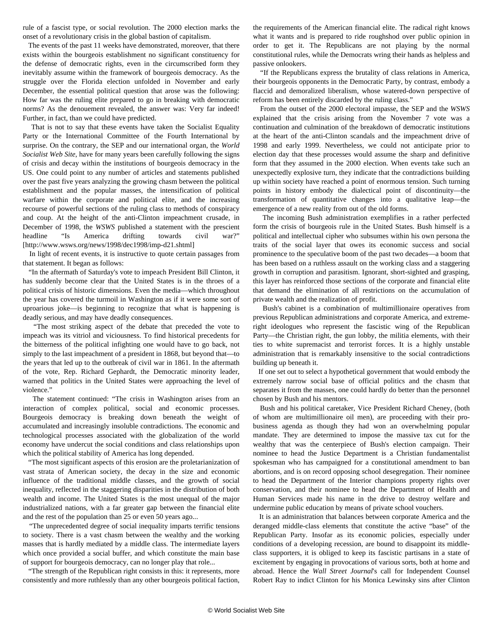rule of a fascist type, or social revolution. The 2000 election marks the onset of a revolutionary crisis in the global bastion of capitalism.

 The events of the past 11 weeks have demonstrated, moreover, that there exists within the bourgeois establishment no significant constituency for the defense of democratic rights, even in the circumscribed form they inevitably assume within the framework of bourgeois democracy. As the struggle over the Florida election unfolded in November and early December, the essential political question that arose was the following: How far was the ruling elite prepared to go in breaking with democratic norms? As the denouement revealed, the answer was: Very far indeed! Further, in fact, than we could have predicted.

 That is not to say that these events have taken the Socialist Equality Party or the International Committee of the Fourth International by surprise. On the contrary, the SEP and our international organ, the *World Socialist Web Site*, have for many years been carefully following the signs of crisis and decay within the institutions of bourgeois democracy in the US. One could point to any number of articles and statements published over the past five years analyzing the growing chasm between the political establishment and the popular masses, the intensification of political warfare within the corporate and political elite, and the increasing recourse of powerful sections of the ruling class to methods of conspiracy and coup. At the height of the anti-Clinton impeachment crusade, in December of 1998, the *WSWS* published a statement with the prescient headline ["Is America drifting towards civil war?"](../../../news/1998/dec1998/imp-d21.shtml) [http://www.wsws.org/news/1998/dec1998/imp-d21.shtml]

 In light of recent events, it is instructive to quote certain passages from that statement. It began as follows:

 "In the aftermath of Saturday's vote to impeach President Bill Clinton, it has suddenly become clear that the United States is in the throes of a political crisis of historic dimensions. Even the media—which throughout the year has covered the turmoil in Washington as if it were some sort of uproarious joke—is beginning to recognize that what is happening is deadly serious, and may have deadly consequences.

 "The most striking aspect of the debate that preceded the vote to impeach was its vitriol and viciousness. To find historical precedents for the bitterness of the political infighting one would have to go back, not simply to the last impeachment of a president in 1868, but beyond that—to the years that led up to the outbreak of civil war in 1861. In the aftermath of the vote, Rep. Richard Gephardt, the Democratic minority leader, warned that politics in the United States were approaching the level of violence."

 The statement continued: "The crisis in Washington arises from an interaction of complex political, social and economic processes. Bourgeois democracy is breaking down beneath the weight of accumulated and increasingly insoluble contradictions. The economic and technological processes associated with the globalization of the world economy have undercut the social conditions and class relationships upon which the political stability of America has long depended.

 "The most significant aspects of this erosion are the proletarianization of vast strata of American society, the decay in the size and economic influence of the traditional middle classes, and the growth of social inequality, reflected in the staggering disparities in the distribution of both wealth and income. The United States is the most unequal of the major industrialized nations, with a far greater gap between the financial elite and the rest of the population than 25 or even 50 years ago...

 "The unprecedented degree of social inequality imparts terrific tensions to society. There is a vast chasm between the wealthy and the working masses that is hardly mediated by a middle class. The intermediate layers which once provided a social buffer, and which constitute the main base of support for bourgeois democracy, can no longer play that role...

 "The strength of the Republican right consists in this: it represents, more consistently and more ruthlessly than any other bourgeois political faction, the requirements of the American financial elite. The radical right knows what it wants and is prepared to ride roughshod over public opinion in order to get it. The Republicans are not playing by the normal constitutional rules, while the Democrats wring their hands as helpless and passive onlookers.

 "If the Republicans express the brutality of class relations in America, their bourgeois opponents in the Democratic Party, by contrast, embody a flaccid and demoralized liberalism, whose watered-down perspective of reform has been entirely discarded by the ruling class."

 From the outset of the 2000 electoral impasse, the SEP and the *WSWS* explained that the crisis arising from the November 7 vote was a continuation and culmination of the breakdown of democratic institutions at the heart of the anti-Clinton scandals and the impeachment drive of 1998 and early 1999. Nevertheless, we could not anticipate prior to election day that these processes would assume the sharp and definitive form that they assumed in the 2000 election. When events take such an unexpectedly explosive turn, they indicate that the contradictions building up within society have reached a point of enormous tension. Such turning points in history embody the dialectical point of discontinuity—the transformation of quantitative changes into a qualitative leap—the emergence of a new reality from out of the old forms.

 The incoming Bush administration exemplifies in a rather perfected form the crisis of bourgeois rule in the United States. Bush himself is a political and intellectual cipher who subsumes within his own persona the traits of the social layer that owes its economic success and social prominence to the speculative boom of the past two decades—a boom that has been based on a ruthless assault on the working class and a staggering growth in corruption and parasitism. Ignorant, short-sighted and grasping, this layer has reinforced those sections of the corporate and financial elite that demand the elimination of all restrictions on the accumulation of private wealth and the realization of profit.

 Bush's cabinet is a combination of multimillionaire operatives from previous Republican administrations and corporate America, and extremeright ideologues who represent the fascistic wing of the Republican Party—the Christian right, the gun lobby, the militia elements, with their ties to white supremacist and terrorist forces. It is a highly unstable administration that is remarkably insensitive to the social contradictions building up beneath it.

 If one set out to select a hypothetical government that would embody the extremely narrow social base of official politics and the chasm that separates it from the masses, one could hardly do better than the personnel chosen by Bush and his mentors.

 Bush and his political caretaker, Vice President Richard Cheney, (both of whom are multimillionaire oil men), are proceeding with their probusiness agenda as though they had won an overwhelming popular mandate. They are determined to impose the massive tax cut for the wealthy that was the centerpiece of Bush's election campaign. Their nominee to head the Justice Department is a Christian fundamentalist spokesman who has campaigned for a constitutional amendment to ban abortions, and is on record opposing school desegregation. Their nominee to head the Department of the Interior champions property rights over conservation, and their nominee to head the Department of Health and Human Services made his name in the drive to destroy welfare and undermine public education by means of private school vouchers.

 It is an administration that balances between corporate America and the deranged middle-class elements that constitute the active "base" of the Republican Party. Insofar as its economic policies, especially under conditions of a developing recession, are bound to disappoint its middleclass supporters, it is obliged to keep its fascistic partisans in a state of excitement by engaging in provocations of various sorts, both at home and abroad. Hence the *Wall Street Journal*'s call for Independent Counsel Robert Ray to indict Clinton for his Monica Lewinsky sins after Clinton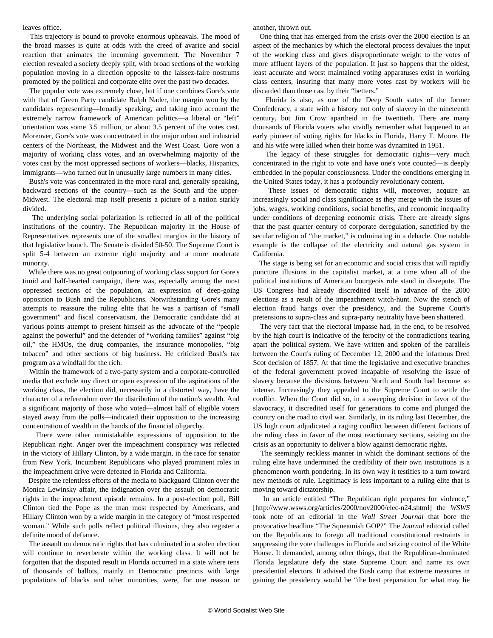leaves office.

 This trajectory is bound to provoke enormous upheavals. The mood of the broad masses is quite at odds with the creed of avarice and social reaction that animates the incoming government. The November 7 election revealed a society deeply split, with broad sections of the working population moving in a direction opposite to the laissez-faire nostrums promoted by the political and corporate elite over the past two decades.

 The popular vote was extremely close, but if one combines Gore's vote with that of Green Party candidate Ralph Nader, the margin won by the candidates representing—broadly speaking, and taking into account the extremely narrow framework of American politics—a liberal or "left" orientation was some 3.5 million, or about 3.5 percent of the votes cast. Moreover, Gore's vote was concentrated in the major urban and industrial centers of the Northeast, the Midwest and the West Coast. Gore won a majority of working class votes, and an overwhelming majority of the votes cast by the most oppressed sections of workers—blacks, Hispanics, immigrants—who turned out in unusually large numbers in many cities.

 Bush's vote was concentrated in the more rural and, generally speaking, backward sections of the country—such as the South and the upper-Midwest. The electoral map itself presents a picture of a nation starkly divided.

 The underlying social polarization is reflected in all of the political institutions of the country. The Republican majority in the House of Representatives represents one of the smallest margins in the history of that legislative branch. The Senate is divided 50-50. The Supreme Court is split 5-4 between an extreme right majority and a more moderate minority.

 While there was no great outpouring of working class support for Gore's timid and half-hearted campaign, there was, especially among the most oppressed sections of the population, an expression of deep-going opposition to Bush and the Republicans. Notwithstanding Gore's many attempts to reassure the ruling elite that he was a partisan of "small government" and fiscal conservatism, the Democratic candidate did at various points attempt to present himself as the advocate of the "people against the powerful" and the defender of "working families" against "big oil," the HMOs, the drug companies, the insurance monopolies, "big tobacco" and other sections of big business. He criticized Bush's tax program as a windfall for the rich.

 Within the framework of a two-party system and a corporate-controlled media that exclude any direct or open expression of the aspirations of the working class, the election did, necessarily in a distorted way, have the character of a referendum over the distribution of the nation's wealth. And a significant majority of those who voted—almost half of eligible voters stayed away from the polls—indicated their opposition to the increasing concentration of wealth in the hands of the financial oligarchy.

 There were other unmistakable expressions of opposition to the Republican right. Anger over the impeachment conspiracy was reflected in the victory of Hillary Clinton, by a wide margin, in the race for senator from New York. Incumbent Republicans who played prominent roles in the impeachment drive were defeated in Florida and California.

 Despite the relentless efforts of the media to blackguard Clinton over the Monica Lewinsky affair, the indignation over the assault on democratic rights in the impeachment episode remains. In a post-election poll, Bill Clinton tied the Pope as the man most respected by Americans, and Hillary Clinton won by a wide margin in the category of "most respected woman." While such polls reflect political illusions, they also register a definite mood of defiance.

 The assault on democratic rights that has culminated in a stolen election will continue to reverberate within the working class. It will not be forgotten that the disputed result in Florida occurred in a state where tens of thousands of ballots, mainly in Democratic precincts with large populations of blacks and other minorities, were, for one reason or another, thrown out.

 One thing that has emerged from the crisis over the 2000 election is an aspect of the mechanics by which the electoral process devalues the input of the working class and gives disproportionate weight to the votes of more affluent layers of the population. It just so happens that the oldest, least accurate and worst maintained voting apparatuses exist in working class centers, insuring that many more votes cast by workers will be discarded than those cast by their "betters."

 Florida is also, as one of the Deep South states of the former Confederacy, a state with a history not only of slavery in the nineteenth century, but Jim Crow apartheid in the twentieth. There are many thousands of Florida voters who vividly remember what happened to an early pioneer of voting rights for blacks in Florida, Harry T. Moore. He and his wife were killed when their home was dynamited in 1951.

 The legacy of these struggles for democratic rights—very much concentrated in the right to vote and have one's vote counted—is deeply embedded in the popular consciousness. Under the conditions emerging in the United States today, it has a profoundly revolutionary content.

 These issues of democratic rights will, moreover, acquire an increasingly social and class significance as they merge with the issues of jobs, wages, working conditions, social benefits, and economic inequality under conditions of deepening economic crisis. There are already signs that the past quarter century of corporate deregulation, sanctified by the secular religion of "the market," is culminating in a debacle. One notable example is the collapse of the electricity and natural gas system in California.

 The stage is being set for an economic and social crisis that will rapidly puncture illusions in the capitalist market, at a time when all of the political institutions of American bourgeois rule stand in disrepute. The US Congress had already discredited itself in advance of the 2000 elections as a result of the impeachment witch-hunt. Now the stench of election fraud hangs over the presidency, and the Supreme Court's pretensions to supra-class and supra-party neutrality have been shattered.

 The very fact that the electoral impasse had, in the end, to be resolved by the high court is indicative of the ferocity of the contradictions tearing apart the political system. We have written and spoken of the parallels between the Court's ruling of December 12, 2000 and the infamous Dred Scot decision of 1857. At that time the legislative and executive branches of the federal government proved incapable of resolving the issue of slavery because the divisions between North and South had become so intense. Increasingly they appealed to the Supreme Court to settle the conflict. When the Court did so, in a sweeping decision in favor of the slavocracy, it discredited itself for generations to come and plunged the country on the road to civil war. Similarly, in its ruling last December, the US high court adjudicated a raging conflict between different factions of the ruling class in favor of the most reactionary sections, seizing on the crisis as an opportunity to deliver a blow against democratic rights.

 The seemingly reckless manner in which the dominant sections of the ruling elite have undermined the credibility of their own institutions is a phenomenon worth pondering. In its own way it testifies to a turn toward new methods of rule. Legitimacy is less important to a ruling elite that is moving toward dictatorship.

 In an article entitled ["The Republican right prepares for violence](/en/articles/2000/nov2000/elec-n24.shtml)," [http://www.wsws.org/articles/2000/nov2000/elec-n24.shtml] the *WSWS* took note of an editorial in the *Wall Street Journal* that bore the provocative headline "The Squeamish GOP?" The *Journal* editorial called on the Republicans to forego all traditional constitutional restraints in suppressing the vote challenges in Florida and seizing control of the White House. It demanded, among other things, that the Republican-dominated Florida legislature defy the state Supreme Court and name its own presidential electors. It advised the Bush camp that extreme measures in gaining the presidency would be "the best preparation for what may lie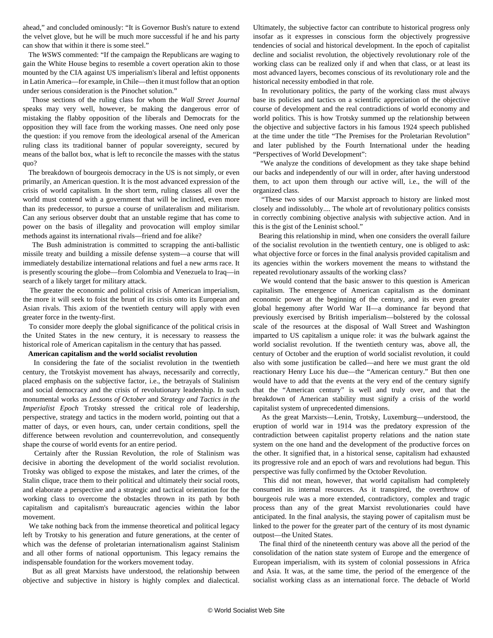ahead," and concluded ominously: "It is Governor Bush's nature to extend the velvet glove, but he will be much more successful if he and his party can show that within it there is some steel."

 The *WSWS* commented: "If the campaign the Republicans are waging to gain the White House begins to resemble a covert operation akin to those mounted by the CIA against US imperialism's liberal and leftist opponents in Latin America—for example, in Chile—then it must follow that an option under serious consideration is the Pinochet solution."

 Those sections of the ruling class for whom the *Wall Street Journal* speaks may very well, however, be making the dangerous error of mistaking the flabby opposition of the liberals and Democrats for the opposition they will face from the working masses. One need only pose the question: if you remove from the ideological arsenal of the American ruling class its traditional banner of popular sovereignty, secured by means of the ballot box, what is left to reconcile the masses with the status quo?

 The breakdown of bourgeois democracy in the US is not simply, or even primarily, an American question. It is the most advanced expression of the crisis of world capitalism. In the short term, ruling classes all over the world must contend with a government that will be inclined, even more than its predecessor, to pursue a course of unilateralism and militarism. Can any serious observer doubt that an unstable regime that has come to power on the basis of illegality and provocation will employ similar methods against its international rivals—friend and foe alike?

 The Bush administration is committed to scrapping the anti-ballistic missile treaty and building a missile defense system—a course that will immediately destabilize international relations and fuel a new arms race. It is presently scouring the globe—from Colombia and Venezuela to Iraq—in search of a likely target for military attack.

 The greater the economic and political crisis of American imperialism, the more it will seek to foist the brunt of its crisis onto its European and Asian rivals. This axiom of the twentieth century will apply with even greater force in the twenty-first.

 To consider more deeply the global significance of the political crisis in the United States in the new century, it is necessary to reassess the historical role of American capitalism in the century that has passed.

#### **American capitalism and the world socialist revolution**

 In considering the fate of the socialist revolution in the twentieth century, the Trotskyist movement has always, necessarily and correctly, placed emphasis on the subjective factor, i.e., the betrayals of Stalinism and social democracy and the crisis of revolutionary leadership. In such monumental works as *Lessons of October* and *Strategy and Tactics in the Imperialist Epoch* Trotsky stressed the critical role of leadership, perspective, strategy and tactics in the modern world, pointing out that a matter of days, or even hours, can, under certain conditions, spell the difference between revolution and counterrevolution, and consequently shape the course of world events for an entire period.

 Certainly after the Russian Revolution, the role of Stalinism was decisive in aborting the development of the world socialist revolution. Trotsky was obliged to expose the mistakes, and later the crimes, of the Stalin clique, trace them to their political and ultimately their social roots, and elaborate a perspective and a strategic and tactical orientation for the working class to overcome the obstacles thrown in its path by both capitalism and capitalism's bureaucratic agencies within the labor movement.

 We take nothing back from the immense theoretical and political legacy left by Trotsky to his generation and future generations, at the center of which was the defense of proletarian internationalism against Stalinism and all other forms of national opportunism. This legacy remains the indispensable foundation for the workers movement today.

 But as all great Marxists have understood, the relationship between objective and subjective in history is highly complex and dialectical. Ultimately, the subjective factor can contribute to historical progress only insofar as it expresses in conscious form the objectively progressive tendencies of social and historical development. In the epoch of capitalist decline and socialist revolution, the objectively revolutionary role of the working class can be realized only if and when that class, or at least its most advanced layers, becomes conscious of its revolutionary role and the historical necessity embodied in that role.

 In revolutionary politics, the party of the working class must always base its policies and tactics on a scientific appreciation of the objective course of development and the real contradictions of world economy and world politics. This is how Trotsky summed up the relationship between the objective and subjective factors in his famous 1924 speech published at the time under the title "The Premises for the Proletarian Revolution" and later published by the Fourth International under the heading "Perspectives of World Development":

 "We analyze the conditions of development as they take shape behind our backs and independently of our will in order, after having understood them, to act upon them through our active will, i.e., the will of the organized class.

 "These two sides of our Marxist approach to history are linked most closely and indissolubly.... The whole art of revolutionary politics consists in correctly combining objective analysis with subjective action. And in this is the gist of the Leninist school."

 Bearing this relationship in mind, when one considers the overall failure of the socialist revolution in the twentieth century, one is obliged to ask: what objective force or forces in the final analysis provided capitalism and its agencies within the workers movement the means to withstand the repeated revolutionary assaults of the working class?

 We would contend that the basic answer to this question is American capitalism. The emergence of American capitalism as the dominant economic power at the beginning of the century, and its even greater global hegemony after World War II—a dominance far beyond that previously exercised by British imperialism—bolstered by the colossal scale of the resources at the disposal of Wall Street and Washington imparted to US capitalism a unique role: it was *the* bulwark against the world socialist revolution. If the twentieth century was, above all, the century of October and the eruption of world socialist revolution, it could also with some justification be called—and here we must grant the old reactionary Henry Luce his due—the "American century." But then one would have to add that the events at the very end of the century signify that the "American century" is well and truly over, and that the breakdown of American stability must signify a crisis of the world capitalist system of unprecedented dimensions.

 As the great Marxists—Lenin, Trotsky, Luxemburg—understood, the eruption of world war in 1914 was the predatory expression of the contradiction between capitalist property relations and the nation state system on the one hand and the development of the productive forces on the other. It signified that, in a historical sense, capitalism had exhausted its progressive role and an epoch of wars and revolutions had begun. This perspective was fully confirmed by the October Revolution.

 This did not mean, however, that world capitalism had completely consumed its internal resources. As it transpired, the overthrow of bourgeois rule was a more extended, contradictory, complex and tragic process than any of the great Marxist revolutionaries could have anticipated. In the final analysis, the staying power of capitalism must be linked to the power for the greater part of the century of its most dynamic outpost—the United States.

 The final third of the nineteenth century was above all the period of the consolidation of the nation state system of Europe and the emergence of European imperialism, with its system of colonial possessions in Africa and Asia. It was, at the same time, the period of the emergence of the socialist working class as an international force. The debacle of World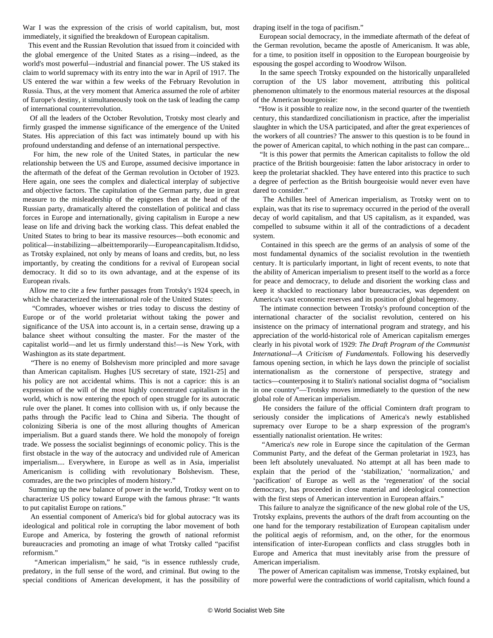War I was the expression of the crisis of world capitalism, but, most immediately, it signified the breakdown of European capitalism.

 This event and the Russian Revolution that issued from it coincided with the global emergence of the United States as a rising—indeed, as the world's most powerful—industrial and financial power. The US staked its claim to world supremacy with its entry into the war in April of 1917. The US entered the war within a few weeks of the February Revolution in Russia. Thus, at the very moment that America assumed the role of arbiter of Europe's destiny, it simultaneously took on the task of leading the camp of international counterrevolution.

 Of all the leaders of the October Revolution, Trotsky most clearly and firmly grasped the immense significance of the emergence of the United States. His appreciation of this fact was intimately bound up with his profound understanding and defense of an international perspective.

 For him, the new role of the United States, in particular the new relationship between the US and Europe, assumed decisive importance in the aftermath of the defeat of the German revolution in October of 1923. Here again, one sees the complex and dialectical interplay of subjective and objective factors. The capitulation of the German party, due in great measure to the misleadership of the epigones then at the head of the Russian party, dramatically altered the constellation of political and class forces in Europe and internationally, giving capitalism in Europe a new lease on life and driving back the working class. This defeat enabled the United States to bring to bear its massive resources—both economic and political—in stabilizing—albeit temporarily—European capitalism. It did so, as Trotsky explained, not only by means of loans and credits, but, no less importantly, by creating the conditions for a revival of European social democracy. It did so to its own advantage, and at the expense of its European rivals.

 Allow me to cite a few further passages from Trotsky's 1924 speech, in which he characterized the international role of the United States:

 "Comrades, whoever wishes or tries today to discuss the destiny of Europe or of the world proletariat without taking the power and significance of the USA into account is, in a certain sense, drawing up a balance sheet without consulting the master. For the master of the capitalist world—and let us firmly understand this!—is New York, with Washington as its state department.

 "There is no enemy of Bolshevism more principled and more savage than American capitalism. Hughes [US secretary of state, 1921-25] and his policy are not accidental whims. This is not a caprice: this is an expression of the will of the most highly concentrated capitalism in the world, which is now entering the epoch of open struggle for its autocratic rule over the planet. It comes into collision with us, if only because the paths through the Pacific lead to China and Siberia. The thought of colonizing Siberia is one of the most alluring thoughts of American imperialism. But a guard stands there. We hold the monopoly of foreign trade. We possess the socialist beginnings of economic policy. This is the first obstacle in the way of the autocracy and undivided rule of American imperialism.... Everywhere, in Europe as well as in Asia, imperialist Americanism is colliding with revolutionary Bolshevism. These, comrades, are the two principles of modern history."

 Summing up the new balance of power in the world, Trotksy went on to characterize US policy toward Europe with the famous phrase: "It wants to put capitalist Europe on rations."

 An essential component of America's bid for global autocracy was its ideological and political role in corrupting the labor movement of both Europe and America, by fostering the growth of national reformist bureaucracies and promoting an image of what Trotsky called "pacifist reformism."

 "American imperialism," he said, "is in essence ruthlessly crude, predatory, in the full sense of the word, and criminal. But owing to the special conditions of American development, it has the possibility of draping itself in the toga of pacifism."

 European social democracy, in the immediate aftermath of the defeat of the German revolution, became the apostle of Americanism. It was able, for a time, to position itself in opposition to the European bourgeoisie by espousing the gospel according to Woodrow Wilson.

 In the same speech Trotsky expounded on the historically unparalleled corruption of the US labor movement, attributing this political phenomenon ultimately to the enormous material resources at the disposal of the American bourgeoisie:

 "How is it possible to realize now, in the second quarter of the twentieth century, this standardized conciliationism in practice, after the imperialist slaughter in which the USA participated, and after the great experiences of the workers of all countries? The answer to this question is to be found in the power of American capital, to which nothing in the past can compare...

 "It is this power that permits the American capitalists to follow the old practice of the British bourgeoisie: fatten the labor aristocracy in order to keep the proletariat shackled. They have entered into this practice to such a degree of perfection as the British bourgeoisie would never even have dared to consider."

 The Achilles heel of American imperialism, as Trotsky went on to explain, was that its rise to supremacy occurred in the period of the overall decay of world capitalism, and that US capitalism, as it expanded, was compelled to subsume within it all of the contradictions of a decadent system.

 Contained in this speech are the germs of an analysis of some of the most fundamental dynamics of the socialist revolution in the twentieth century. It is particularly important, in light of recent events, to note that the ability of American imperialism to present itself to the world as a force for peace and democracy, to delude and disorient the working class and keep it shackled to reactionary labor bureaucracies, was dependent on America's vast economic reserves and its position of global hegemony.

 The intimate connection between Trotsky's profound conception of the international character of the socialist revolution, centered on his insistence on the primacy of international program and strategy, and his appreciation of the world-historical role of American capitalism emerges clearly in his pivotal work of 1929: *The Draft Program of the Communist International—A Criticism of Fundamentals*. Following his deservedly famous opening section, in which he lays down the principle of socialist internationalism as the cornerstone of perspective, strategy and tactics—counterposing it to Stalin's national socialist dogma of "socialism in one country"—Trotsky moves immediately to the question of the new global role of American imperialism.

 He considers the failure of the official Comintern draft program to seriously consider the implications of America's newly established supremacy over Europe to be a sharp expression of the program's essentially nationalist orientation. He writes:

 "America's *new* role in Europe since the capitulation of the German Communist Party, and the defeat of the German proletariat in 1923, has been left absolutely unevaluated. No attempt at all has been made to explain that the period of the 'stabilization,' 'normalization,' and 'pacification' of Europe as well as the 'regeneration' of the social democracy, has proceeded in close material and ideological connection with the first steps of American intervention in European affairs."

 This failure to analyze the significance of the new global role of the US, Trotsky explains, prevents the authors of the draft from accounting on the one hand for the temporary restabilization of European capitalism under the political aegis of reformism, and, on the other, for the enormous intensification of inter-European conflicts and class struggles both in Europe and America that must inevitably arise from the pressure of American imperialism.

 The power of American capitalism was immense, Trotsky explained, but more powerful were the contradictions of world capitalism, which found a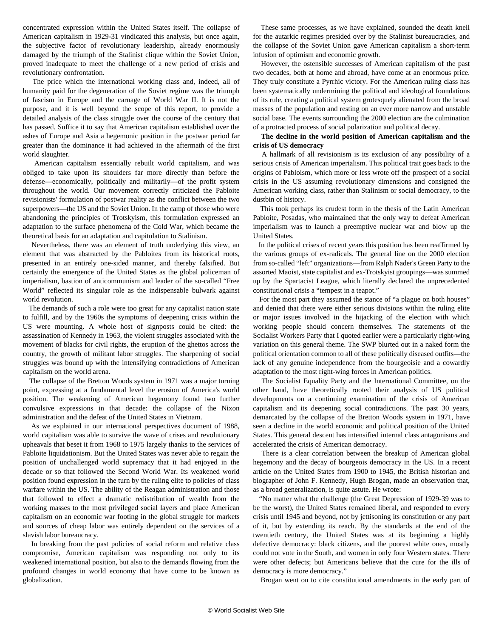concentrated expression within the United States itself. The collapse of American capitalism in 1929-31 vindicated this analysis, but once again, the subjective factor of revolutionary leadership, already enormously damaged by the triumph of the Stalinist clique within the Soviet Union, proved inadequate to meet the challenge of a new period of crisis and revolutionary confrontation.

 The price which the international working class and, indeed, all of humanity paid for the degeneration of the Soviet regime was the triumph of fascism in Europe and the carnage of World War II. It is not the purpose, and it is well beyond the scope of this report, to provide a detailed analysis of the class struggle over the course of the century that has passed. Suffice it to say that American capitalism established over the ashes of Europe and Asia a hegemonic position in the postwar period far greater than the dominance it had achieved in the aftermath of the first world slaughter.

 American capitalism essentially rebuilt world capitalism, and was obliged to take upon its shoulders far more directly than before the defense—economically, politically and militarily—of the profit system throughout the world. Our movement correctly criticized the Pabloite revisionists' formulation of postwar reality as the conflict between the two superpowers—the US and the Soviet Union. In the camp of those who were abandoning the principles of Trotskyism, this formulation expressed an adaptation to the surface phenomena of the Cold War, which became the theoretical basis for an adaptation and capitulation to Stalinism.

 Nevertheless, there was an element of truth underlying this view, an element that was abstracted by the Pabloites from its historical roots, presented in an entirely one-sided manner, and thereby falsified. But certainly the emergence of the United States as the global policeman of imperialism, bastion of anticommunism and leader of the so-called "Free World" reflected its singular role as the indispensable bulwark against world revolution.

 The demands of such a role were too great for any capitalist nation state to fulfill, and by the 1960s the symptoms of deepening crisis within the US were mounting. A whole host of signposts could be cited: the assassination of Kennedy in 1963, the violent struggles associated with the movement of blacks for civil rights, the eruption of the ghettos across the country, the growth of militant labor struggles. The sharpening of social struggles was bound up with the intensifying contradictions of American capitalism on the world arena.

 The collapse of the Bretton Woods system in 1971 was a major turning point, expressing at a fundamental level the erosion of America's world position. The weakening of American hegemony found two further convulsive expressions in that decade: the collapse of the Nixon administration and the defeat of the United States in Vietnam.

 As we explained in our international perspectives document of 1988, world capitalism was able to survive the wave of crises and revolutionary upheavals that beset it from 1968 to 1975 largely thanks to the services of Pabloite liquidationism. But the United States was never able to regain the position of unchallenged world supremacy that it had enjoyed in the decade or so that followed the Second World War. Its weakened world position found expression in the turn by the ruling elite to policies of class warfare within the US. The ability of the Reagan administration and those that followed to effect a dramatic redistribution of wealth from the working masses to the most privileged social layers and place American capitalism on an economic war footing in the global struggle for markets and sources of cheap labor was entirely dependent on the services of a slavish labor bureaucracy.

 In breaking from the past policies of social reform and relative class compromise, American capitalism was responding not only to its weakened international position, but also to the demands flowing from the profound changes in world economy that have come to be known as globalization.

 These same processes, as we have explained, sounded the death knell for the autarkic regimes presided over by the Stalinist bureaucracies, and the collapse of the Soviet Union gave American capitalism a short-term infusion of optimism and economic growth.

 However, the ostensible successes of American capitalism of the past two decades, both at home and abroad, have come at an enormous price. They truly constitute a Pyrrhic victory. For the American ruling class has been systematically undermining the political and ideological foundations of its rule, creating a political system grotesquely alienated from the broad masses of the population and resting on an ever more narrow and unstable social base. The events surrounding the 2000 election are the culmination of a protracted process of social polarization and political decay.

 **The decline in the world position of American capitalism and the crisis of US democracy**

 A hallmark of all revisionism is its exclusion of any possibility of a serious crisis of American imperialism. This political trait goes back to the origins of Pabloism, which more or less wrote off the prospect of a social crisis in the US assuming revolutionary dimensions and consigned the American working class, rather than Stalinism or social democracy, to the dustbin of history.

 This took perhaps its crudest form in the thesis of the Latin American Pabloite, Posadas, who maintained that the only way to defeat American imperialism was to launch a preemptive nuclear war and blow up the United States.

 In the political crises of recent years this position has been reaffirmed by the various groups of ex-radicals. The general line on the 2000 election from so-called "left" organizations—from Ralph Nader's Green Party to the assorted Maoist, state capitalist and ex-Trotskyist groupings—was summed up by the Spartacist League, which literally declared the unprecedented constitutional crisis a "tempest in a teapot."

 For the most part they assumed the stance of "a plague on both houses" and denied that there were either serious divisions within the ruling elite or major issues involved in the hijacking of the election with which working people should concern themselves. The statements of the Socialist Workers Party that I quoted earlier were a particularly right-wing variation on this general theme. The SWP blurted out in a naked form the political orientation common to all of these politically diseased outfits—the lack of any genuine independence from the bourgeoisie and a cowardly adaptation to the most right-wing forces in American politics.

 The Socialist Equality Party and the International Committee, on the other hand, have theoretically rooted their analysis of US political developments on a continuing examination of the crisis of American capitalism and its deepening social contradictions. The past 30 years, demarcated by the collapse of the Bretton Woods system in 1971, have seen a decline in the world economic and political position of the United States. This general descent has intensified internal class antagonisms and accelerated the crisis of American democracy.

 There is a clear correlation between the breakup of American global hegemony and the decay of bourgeois democracy in the US. In a recent article on the United States from 1900 to 1945, the British historian and biographer of John F. Kennedy, Hugh Brogan, made an observation that, as a broad generalization, is quite astute. He wrote:

 "No matter what the challenge (the Great Depression of 1929-39 was to be the worst), the United States remained liberal, and responded to every crisis until 1945 and beyond, not by jettisoning its constitution or any part of it, but by extending its reach. By the standards at the end of the twentieth century, the United States was at its beginning a highly defective democracy: black citizens, and the poorest white ones, mostly could not vote in the South, and women in only four Western states. There were other defects; but Americans believe that the cure for the ills of democracy is more democracy."

Brogan went on to cite constitutional amendments in the early part of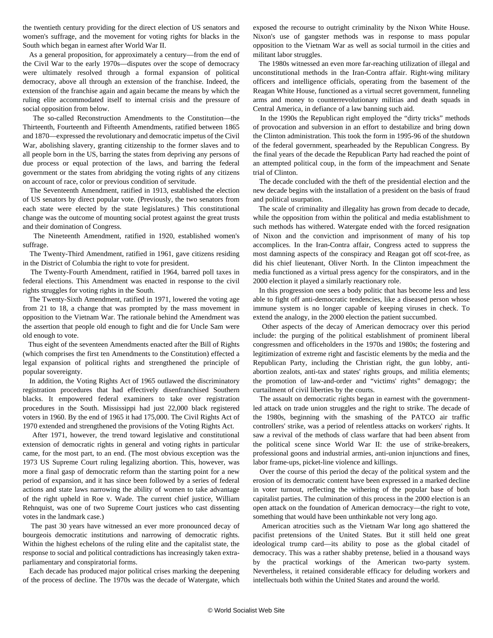the twentieth century providing for the direct election of US senators and women's suffrage, and the movement for voting rights for blacks in the South which began in earnest after World War II.

 As a general proposition, for approximately a century—from the end of the Civil War to the early 1970s—disputes over the scope of democracy were ultimately resolved through a formal expansion of political democracy, above all through an extension of the franchise. Indeed, the extension of the franchise again and again became the means by which the ruling elite accommodated itself to internal crisis and the pressure of social opposition from below.

 The so-called Reconstruction Amendments to the Constitution—the Thirteenth, Fourteenth and Fifteenth Amendments, ratified between 1865 and 1870—expressed the revolutionary and democratic impetus of the Civil War, abolishing slavery, granting citizenship to the former slaves and to all people born in the US, barring the states from depriving any persons of due process or equal protection of the laws, and barring the federal government or the states from abridging the voting rights of any citizens on account of race, color or previous condition of servitude.

 The Seventeenth Amendment, ratified in 1913, established the election of US senators by direct popular vote. (Previously, the two senators from each state were elected by the state legislatures.) This constitutional change was the outcome of mounting social protest against the great trusts and their domination of Congress.

 The Nineteenth Amendment, ratified in 1920, established women's suffrage.

 The Twenty-Third Amendment, ratified in 1961, gave citizens residing in the District of Columbia the right to vote for president.

 The Twenty-Fourth Amendment, ratified in 1964, barred poll taxes in federal elections. This Amendment was enacted in response to the civil rights struggles for voting rights in the South.

 The Twenty-Sixth Amendment, ratified in 1971, lowered the voting age from 21 to 18, a change that was prompted by the mass movement in opposition to the Vietnam War. The rationale behind the Amendment was the assertion that people old enough to fight and die for Uncle Sam were old enough to vote.

 Thus eight of the seventeen Amendments enacted after the Bill of Rights (which comprises the first ten Amendments to the Constitution) effected a legal expansion of political rights and strengthened the principle of popular sovereignty.

 In addition, the Voting Rights Act of 1965 outlawed the discriminatory registration procedures that had effectively disenfranchised Southern blacks. It empowered federal examiners to take over registration procedures in the South. Mississippi had just 22,000 black registered voters in 1960. By the end of 1965 it had 175,000. The Civil Rights Act of 1970 extended and strengthened the provisions of the Voting Rights Act.

 After 1971, however, the trend toward legislative and constitutional extension of democratic rights in general and voting rights in particular came, for the most part, to an end. (The most obvious exception was the 1973 US Supreme Court ruling legalizing abortion. This, however, was more a final gasp of democratic reform than the starting point for a new period of expansion, and it has since been followed by a series of federal actions and state laws narrowing the ability of women to take advantage of the right upheld in Roe v. Wade. The current chief justice, William Rehnquist, was one of two Supreme Court justices who cast dissenting votes in the landmark case.)

 The past 30 years have witnessed an ever more pronounced decay of bourgeois democratic institutions and narrowing of democratic rights. Within the highest echelons of the ruling elite and the capitalist state, the response to social and political contradictions has increasingly taken extraparliamentary and conspiratorial forms.

 Each decade has produced major political crises marking the deepening of the process of decline. The 1970s was the decade of Watergate, which

exposed the recourse to outright criminality by the Nixon White House. Nixon's use of gangster methods was in response to mass popular opposition to the Vietnam War as well as social turmoil in the cities and militant labor struggles.

 The 1980s witnessed an even more far-reaching utilization of illegal and unconstitutional methods in the Iran-Contra affair. Right-wing military officers and intelligence officials, operating from the basement of the Reagan White House, functioned as a virtual secret government, funneling arms and money to counterrevolutionary militias and death squads in Central America, in defiance of a law banning such aid.

 In the 1990s the Republican right employed the "dirty tricks" methods of provocation and subversion in an effort to destabilize and bring down the Clinton administration. This took the form in 1995-96 of the shutdown of the federal government, spearheaded by the Republican Congress. By the final years of the decade the Republican Party had reached the point of an attempted political coup, in the form of the impeachment and Senate trial of Clinton.

 The decade concluded with the theft of the presidential election and the new decade begins with the installation of a president on the basis of fraud and political usurpation.

 The scale of criminality and illegality has grown from decade to decade, while the opposition from within the political and media establishment to such methods has withered. Watergate ended with the forced resignation of Nixon and the conviction and imprisonment of many of his top accomplices. In the Iran-Contra affair, Congress acted to suppress the most damning aspects of the conspiracy and Reagan got off scot-free, as did his chief lieutenant, Oliver North. In the Clinton impeachment the media functioned as a virtual press agency for the conspirators, and in the 2000 election it played a similarly reactionary role.

 In this progression one sees a body politic that has become less and less able to fight off anti-democratic tendencies, like a diseased person whose immune system is no longer capable of keeping viruses in check. To extend the analogy, in the 2000 election the patient succumbed.

 Other aspects of the decay of American democracy over this period include: the purging of the political establishment of prominent liberal congressmen and officeholders in the 1970s and 1980s; the fostering and legitimization of extreme right and fascistic elements by the media and the Republican Party, including the Christian right, the gun lobby, antiabortion zealots, anti-tax and states' rights groups, and militia elements; the promotion of law-and-order and "victims' rights" demagogy; the curtailment of civil liberties by the courts.

 The assault on democratic rights began in earnest with the governmentled attack on trade union struggles and the right to strike. The decade of the 1980s, beginning with the smashing of the PATCO air traffic controllers' strike, was a period of relentless attacks on workers' rights. It saw a revival of the methods of class warfare that had been absent from the political scene since World War II: the use of strike-breakers, professional goons and industrial armies, anti-union injunctions and fines, labor frame-ups, picket-line violence and killings.

 Over the course of this period the decay of the political system and the erosion of its democratic content have been expressed in a marked decline in voter turnout, reflecting the withering of the popular base of both capitalist parties. The culmination of this process in the 2000 election is an open attack on the foundation of American democracy—the right to vote, something that would have been unthinkable not very long ago.

 American atrocities such as the Vietnam War long ago shattered the pacifist pretensions of the United States. But it still held one great ideological trump card—its ability to pose as the global citadel of democracy. This was a rather shabby pretense, belied in a thousand ways by the practical workings of the American two-party system. Nevertheless, it retained considerable efficacy for deluding workers and intellectuals both within the United States and around the world.